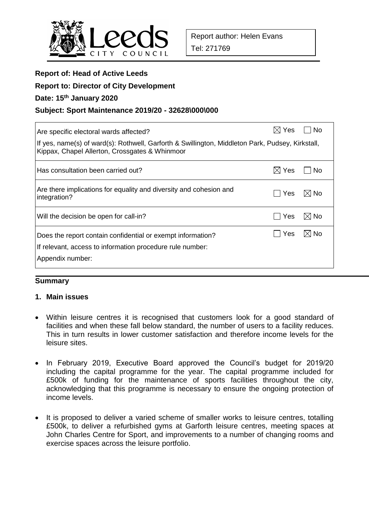

| <b>Report of: Head of Active Leeds</b>                                                                                                             |                 |                |  |  |  |  |  |  |
|----------------------------------------------------------------------------------------------------------------------------------------------------|-----------------|----------------|--|--|--|--|--|--|
| <b>Report to: Director of City Development</b>                                                                                                     |                 |                |  |  |  |  |  |  |
| Date: 15th January 2020                                                                                                                            |                 |                |  |  |  |  |  |  |
| Subject: Sport Maintenance 2019/20 - 32628\000\000                                                                                                 |                 |                |  |  |  |  |  |  |
| Are specific electoral wards affected?                                                                                                             | $\boxtimes$ Yes | <b>No</b>      |  |  |  |  |  |  |
| If yes, name(s) of ward(s): Rothwell, Garforth & Swillington, Middleton Park, Pudsey, Kirkstall,<br>Kippax, Chapel Allerton, Crossgates & Whinmoor |                 |                |  |  |  |  |  |  |
| Has consultation been carried out?                                                                                                                 | $\boxtimes$ Yes | No             |  |  |  |  |  |  |
| Are there implications for equality and diversity and cohesion and<br>integration?                                                                 | Yes             | $\boxtimes$ No |  |  |  |  |  |  |
| Will the decision be open for call-in?                                                                                                             | Yes             | $\boxtimes$ No |  |  |  |  |  |  |
| Does the report contain confidential or exempt information?<br>If relevant, access to information procedure rule number:<br>Appendix number:       | Yes             | $\boxtimes$ No |  |  |  |  |  |  |
|                                                                                                                                                    |                 |                |  |  |  |  |  |  |

#### **Summary**

#### **1. Main issues**

- Within leisure centres it is recognised that customers look for a good standard of facilities and when these fall below standard, the number of users to a facility reduces. This in turn results in lower customer satisfaction and therefore income levels for the leisure sites.
- In February 2019, Executive Board approved the Council's budget for 2019/20 including the capital programme for the year. The capital programme included for £500k of funding for the maintenance of sports facilities throughout the city, acknowledging that this programme is necessary to ensure the ongoing protection of income levels.
- It is proposed to deliver a varied scheme of smaller works to leisure centres, totalling £500k, to deliver a refurbished gyms at Garforth leisure centres, meeting spaces at John Charles Centre for Sport, and improvements to a number of changing rooms and exercise spaces across the leisure portfolio.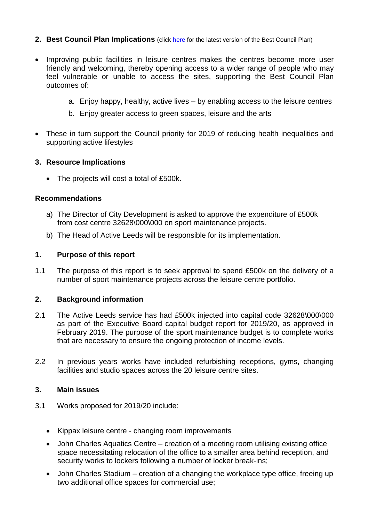#### **2. Best Council Plan Implications** (click [here](https://www.leeds.gov.uk/your-council/plans-and-strategies/council-plans) for the latest version of the Best Council Plan)

- Improving public facilities in leisure centres makes the centres become more user friendly and welcoming, thereby opening access to a wider range of people who may feel vulnerable or unable to access the sites, supporting the Best Council Plan outcomes of:
	- a. Enjoy happy, healthy, active lives by enabling access to the leisure centres
	- b. Enjoy greater access to green spaces, leisure and the arts
- These in turn support the Council priority for 2019 of reducing health inequalities and supporting active lifestyles

#### **3. Resource Implications**

• The projects will cost a total of £500k.

#### **Recommendations**

- a) The Director of City Development is asked to approve the expenditure of £500k from cost centre 32628\000\000 on sport maintenance projects.
- b) The Head of Active Leeds will be responsible for its implementation.

#### **1. Purpose of this report**

1.1 The purpose of this report is to seek approval to spend £500k on the delivery of a number of sport maintenance projects across the leisure centre portfolio.

#### **2. Background information**

- 2.1 The Active Leeds service has had £500k injected into capital code 32628\000\000 as part of the Executive Board capital budget report for 2019/20, as approved in February 2019. The purpose of the sport maintenance budget is to complete works that are necessary to ensure the ongoing protection of income levels.
- 2.2 In previous years works have included refurbishing receptions, gyms, changing facilities and studio spaces across the 20 leisure centre sites.

#### **3. Main issues**

- 3.1 Works proposed for 2019/20 include:
	- Kippax leisure centre changing room improvements
	- John Charles Aquatics Centre creation of a meeting room utilising existing office space necessitating relocation of the office to a smaller area behind reception, and security works to lockers following a number of locker break-ins;
	- John Charles Stadium creation of a changing the workplace type office, freeing up two additional office spaces for commercial use;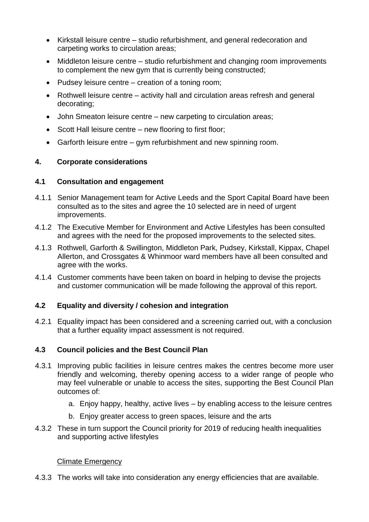- Kirkstall leisure centre studio refurbishment, and general redecoration and carpeting works to circulation areas;
- Middleton leisure centre studio refurbishment and changing room improvements to complement the new gym that is currently being constructed;
- Pudsey leisure centre creation of a toning room;
- Rothwell leisure centre activity hall and circulation areas refresh and general decorating;
- John Smeaton leisure centre new carpeting to circulation areas;
- Scott Hall leisure centre new flooring to first floor;
- Garforth leisure entre gym refurbishment and new spinning room.

## **4. Corporate considerations**

## **4.1 Consultation and engagement**

- 4.1.1 Senior Management team for Active Leeds and the Sport Capital Board have been consulted as to the sites and agree the 10 selected are in need of urgent improvements.
- 4.1.2 The Executive Member for Environment and Active Lifestyles has been consulted and agrees with the need for the proposed improvements to the selected sites.
- 4.1.3 Rothwell, Garforth & Swillington, Middleton Park, Pudsey, Kirkstall, Kippax, Chapel Allerton, and Crossgates & Whinmoor ward members have all been consulted and agree with the works.
- 4.1.4 Customer comments have been taken on board in helping to devise the projects and customer communication will be made following the approval of this report.

## **4.2 Equality and diversity / cohesion and integration**

4.2.1 Equality impact has been considered and a screening carried out, with a conclusion that a further equality impact assessment is not required.

## **4.3 Council policies and the Best Council Plan**

- 4.3.1 Improving public facilities in leisure centres makes the centres become more user friendly and welcoming, thereby opening access to a wider range of people who may feel vulnerable or unable to access the sites, supporting the Best Council Plan outcomes of:
	- a. Enjoy happy, healthy, active lives by enabling access to the leisure centres
	- b. Enjoy greater access to green spaces, leisure and the arts
- 4.3.2 These in turn support the Council priority for 2019 of reducing health inequalities and supporting active lifestyles

## Climate Emergency

4.3.3 The works will take into consideration any energy efficiencies that are available.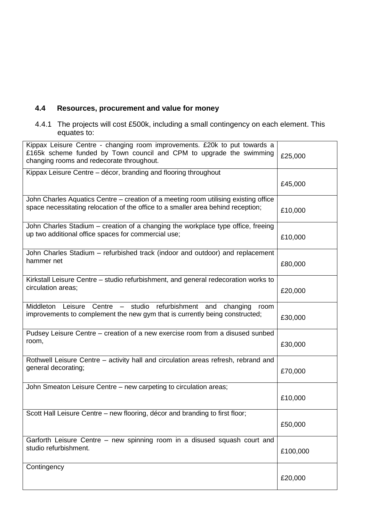# **4.4 Resources, procurement and value for money**

4.4.1 The projects will cost £500k, including a small contingency on each element. This equates to:

| Kippax Leisure Centre - changing room improvements. £20k to put towards a<br>£165k scheme funded by Town council and CPM to upgrade the swimming<br>changing rooms and redecorate throughout. | £25,000  |
|-----------------------------------------------------------------------------------------------------------------------------------------------------------------------------------------------|----------|
| Kippax Leisure Centre - décor, branding and flooring throughout                                                                                                                               |          |
|                                                                                                                                                                                               | £45,000  |
| John Charles Aquatics Centre – creation of a meeting room utilising existing office                                                                                                           |          |
| space necessitating relocation of the office to a smaller area behind reception;                                                                                                              | £10,000  |
| John Charles Stadium - creation of a changing the workplace type office, freeing                                                                                                              |          |
| up two additional office spaces for commercial use;                                                                                                                                           | £10,000  |
| John Charles Stadium - refurbished track (indoor and outdoor) and replacement                                                                                                                 |          |
| hammer net                                                                                                                                                                                    | £80,000  |
| Kirkstall Leisure Centre - studio refurbishment, and general redecoration works to                                                                                                            |          |
| circulation areas;                                                                                                                                                                            | £20,000  |
| Middleton<br>Leisure Centre - studio<br>refurbishment and<br>changing<br>room                                                                                                                 |          |
| improvements to complement the new gym that is currently being constructed;                                                                                                                   | £30,000  |
| Pudsey Leisure Centre – creation of a new exercise room from a disused sunbed                                                                                                                 |          |
| room,                                                                                                                                                                                         | £30,000  |
| Rothwell Leisure Centre - activity hall and circulation areas refresh, rebrand and                                                                                                            |          |
| general decorating;                                                                                                                                                                           | £70,000  |
| John Smeaton Leisure Centre - new carpeting to circulation areas;                                                                                                                             |          |
|                                                                                                                                                                                               | £10,000  |
| Scott Hall Leisure Centre - new flooring, décor and branding to first floor;                                                                                                                  |          |
|                                                                                                                                                                                               | £50,000  |
| Garforth Leisure Centre - new spinning room in a disused squash court and                                                                                                                     |          |
| studio refurbishment.                                                                                                                                                                         | £100,000 |
| Contingency                                                                                                                                                                                   |          |
|                                                                                                                                                                                               | £20,000  |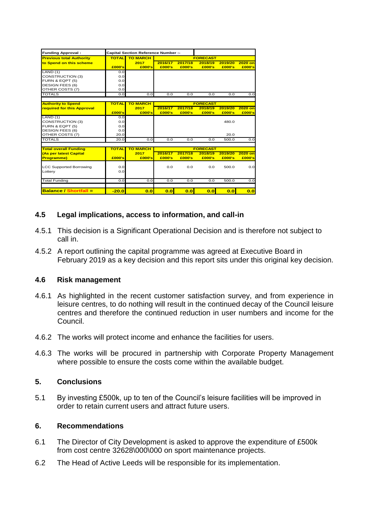| <b>TOTAL</b><br>£000's<br>0.0 | <b>TO MARCH</b><br>2017                                         |                                                                     |                                            |                                            |                                                                                  |                                              |  |
|-------------------------------|-----------------------------------------------------------------|---------------------------------------------------------------------|--------------------------------------------|--------------------------------------------|----------------------------------------------------------------------------------|----------------------------------------------|--|
|                               |                                                                 |                                                                     |                                            | <b>FORECAST</b>                            |                                                                                  |                                              |  |
|                               |                                                                 | 2016/17                                                             | 2017/18                                    | 2018/19                                    | 2019/20                                                                          | 2020 on                                      |  |
|                               | £000's                                                          | £000's                                                              | £000's                                     | £000's                                     | £000's                                                                           | £000's                                       |  |
|                               |                                                                 |                                                                     |                                            |                                            |                                                                                  |                                              |  |
| 0.0                           |                                                                 |                                                                     |                                            |                                            |                                                                                  |                                              |  |
| 0.0                           |                                                                 |                                                                     |                                            |                                            |                                                                                  |                                              |  |
| 0.0                           |                                                                 |                                                                     |                                            |                                            |                                                                                  |                                              |  |
| 0.0                           |                                                                 |                                                                     |                                            |                                            |                                                                                  |                                              |  |
| 0.0                           | 0.0                                                             | 0.0                                                                 | 0.0                                        | 0.0                                        | 0.0                                                                              | 0.0                                          |  |
|                               |                                                                 |                                                                     |                                            |                                            |                                                                                  |                                              |  |
|                               |                                                                 |                                                                     |                                            |                                            |                                                                                  | 2020 on                                      |  |
| £000's                        | £000's                                                          | £000's                                                              | £000's                                     | £000's                                     | £000's                                                                           | £000's                                       |  |
| 0.0                           |                                                                 |                                                                     |                                            |                                            |                                                                                  |                                              |  |
| 0.0                           |                                                                 |                                                                     |                                            |                                            | 480.0                                                                            |                                              |  |
| 0.0                           |                                                                 |                                                                     |                                            |                                            |                                                                                  |                                              |  |
| 0.0                           |                                                                 |                                                                     |                                            |                                            |                                                                                  |                                              |  |
| 20.0                          |                                                                 |                                                                     |                                            |                                            | 20.0                                                                             |                                              |  |
| 20.0                          | 0.0                                                             | 0.0                                                                 | 0.0                                        | 0.0                                        | 500.0                                                                            | 0.0                                          |  |
|                               |                                                                 |                                                                     |                                            |                                            |                                                                                  |                                              |  |
|                               |                                                                 |                                                                     |                                            |                                            |                                                                                  |                                              |  |
|                               |                                                                 |                                                                     |                                            |                                            |                                                                                  | $2020$ on<br>£000's                          |  |
|                               |                                                                 |                                                                     |                                            |                                            |                                                                                  |                                              |  |
|                               |                                                                 |                                                                     |                                            |                                            |                                                                                  | 0.0                                          |  |
|                               |                                                                 |                                                                     |                                            |                                            |                                                                                  |                                              |  |
|                               |                                                                 |                                                                     |                                            |                                            |                                                                                  |                                              |  |
| 0.0                           | 0.0                                                             | 0.0                                                                 | 0.0                                        | 0.0                                        | 500.0                                                                            | 0.0                                          |  |
|                               |                                                                 |                                                                     |                                            |                                            |                                                                                  | 0.0                                          |  |
|                               | <b>TOTAL</b><br><b>TOTAL</b><br>£000's<br>0.0<br>0.0<br>$-20.0$ | <b>TO MARCH</b><br>2017<br><b>TO MARCH</b><br>2017<br>£000's<br>0.0 | 2016/17<br>2016/17<br>£000's<br>0.0<br>0.0 | 2017/18<br>2017/18<br>£000's<br>0.0<br>0.0 | <b>FORECAST</b><br>2018/19<br><b>FORECAST</b><br>2018/19<br>£000's<br>0.0<br>0.0 | 2019/20<br>2019/20<br>£000's<br>500.0<br>0.0 |  |

## **4.5 Legal implications, access to information, and call-in**

- 4.5.1 This decision is a Significant Operational Decision and is therefore not subject to call in.
- 4.5.2 A report outlining the capital programme was agreed at Executive Board in February 2019 as a key decision and this report sits under this original key decision.

## **4.6 Risk management**

- 4.6.1 As highlighted in the recent customer satisfaction survey, and from experience in leisure centres, to do nothing will result in the continued decay of the Council leisure centres and therefore the continued reduction in user numbers and income for the Council.
- 4.6.2 The works will protect income and enhance the facilities for users.
- 4.6.3 The works will be procured in partnership with Corporate Property Management where possible to ensure the costs come within the available budget.

## **5. Conclusions**

5.1 By investing £500k, up to ten of the Council's leisure facilities will be improved in order to retain current users and attract future users.

## **6. Recommendations**

- 6.1 The Director of City Development is asked to approve the expenditure of £500k from cost centre 32628\000\000 on sport maintenance projects.
- 6.2 The Head of Active Leeds will be responsible for its implementation.